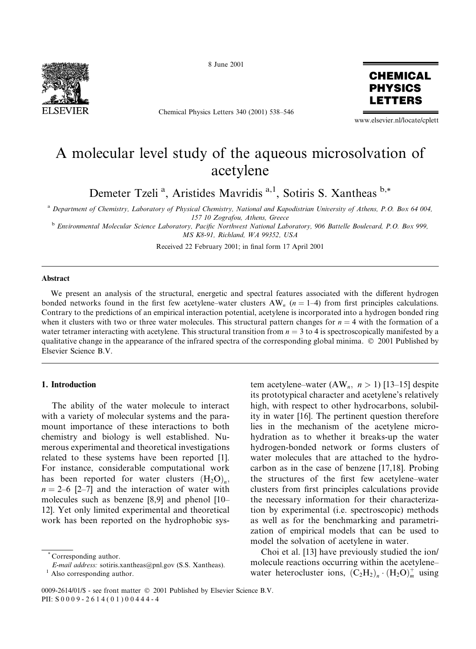

8 June 2001

Chemical Physics Letters 340 (2001) 538-546



www.elsevier.nl/locate/cplett

# A molecular level study of the aqueous microsolvation of acetylene

Demeter Tzeli<sup>a</sup>, Aristides Mavridis<sup>a,1</sup>, Sotiris S. Xantheas<sup>b,\*</sup>

<sup>a</sup> Department of Chemistry, Laboratory of Physical Chemistry, National and Kapodistrian University of Athens, P.O. Box 64 004, 157 10 Zografou, Athens, Greece

<sup>b</sup> Environmental Molecular Science Laboratory, Pacific Northwest National Laboratory, 906 Battelle Boulevard, P.O. Box 999, MS K8-91, Richland, WA 99352, USA

Received 22 February 2001; in final form 17 April 2001

#### Abstract

We present an analysis of the structural, energetic and spectral features associated with the different hydrogen bonded networks found in the first few acetylene–water clusters  $AW_n$  ( $n = 1-4$ ) from first principles calculations. Contrary to the predictions of an empirical interaction potential, acetylene is incorporated into a hydrogen bonded ring when it clusters with two or three water molecules. This structural pattern changes for  $n = 4$  with the formation of a water tetramer interacting with acetylene. This structural transition from  $n = 3$  to 4 is spectroscopically manifested by a qualitative change in the appearance of the infrared spectra of the corresponding global minima. © 2001 Published by Elsevier Science B.V.

# 1. Introduction

The ability of the water molecule to interact with a variety of molecular systems and the paramount importance of these interactions to both chemistry and biology is well established. Numerous experimental and theoretical investigations related to these systems have been reported [1]. For instance, considerable computational work has been reported for water clusters  $(H_2O)_n$ ,  $n = 2-6$  [2-7] and the interaction of water with molecules such as benzene [8,9] and phenol [10– 12]. Yet only limited experimental and theoretical work has been reported on the hydrophobic system acetylene–water (AW<sub>n</sub>,  $n > 1$ ) [13–15] despite its prototypical character and acetylene's relatively high, with respect to other hydrocarbons, solubility in water [16]. The pertinent question therefore lies in the mechanism of the acetylene microhydration as to whether it breaks-up the water hydrogen-bonded network or forms clusters of water molecules that are attached to the hydrocarbon as in the case of benzene [17,18]. Probing the structures of the first few acetylene-water clusters from first principles calculations provide the necessary information for their characterization by experimental (i.e. spectroscopic) methods as well as for the benchmarking and parametrization of empirical models that can be used to model the solvation of acetylene in water.

Choi et al. [13] have previously studied the ion/ molecule reactions occurring within the acetylenewater heterocluster ions,  $(C_2H_2)_n \cdot (H_2O)_m^+$  using

Corresponding author.

E-mail address: sotiris.xantheas@pnl.gov (S.S. Xantheas).

 $1$  Also corresponding author.

<sup>0009-2614/01/\$ -</sup> see front matter © 2001 Published by Elsevier Science B.V. PII: S0009-2614(01)00444-4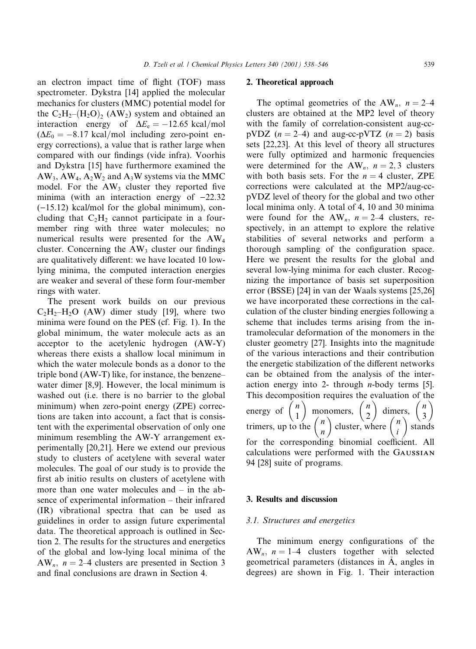an electron impact time of flight (TOF) mass spectrometer. Dykstra [14] applied the molecular mechanics for clusters (MMC) potential model for the  $C_2H_2-(H_2O)$ ,  $(AW_2)$  system and obtained an interaction energy of  $\Delta E_e = -12.65 \text{ kcal/mol}$  $(\Delta E_0 = -8.17 \text{ kcal/mol}$  including zero-point energy corrections), a value that is rather large when compared with our findings (vide infra). Voorhis and Dykstra [15] have furthermore examined the  $AW_3$ ,  $AW_4$ ,  $A_2W_2$  and  $A_3W$  systems via the MMC model. For the AW<sub>3</sub> cluster they reported five minima (with an interaction energy of  $-22.32$  $(-15.12)$  kcal/mol for the global minimum), concluding that  $C_2H_2$  cannot participate in a fourmember ring with three water molecules; no numerical results were presented for the AW<sub>4</sub> cluster. Concerning the  $AW_3$  cluster our findings are qualitatively different: we have located 10 lowlying minima, the computed interaction energies are weaker and several of these form four-member rings with water.

The present work builds on our previous  $C_2H_2-H_2O$  (AW) dimer study [19], where two minima were found on the PES (cf. Fig. 1). In the global minimum, the water molecule acts as an acceptor to the acetylenic hydrogen (AW-Y) whereas there exists a shallow local minimum in which the water molecule bonds as a donor to the triple bond (AW-T) like, for instance, the benzenewater dimer [8,9]. However, the local minimum is washed out (i.e. there is no barrier to the global minimum) when zero-point energy (ZPE) corrections are taken into account, a fact that is consistent with the experimental observation of only one minimum resembling the AW-Y arrangement experimentally [20,21]. Here we extend our previous study to clusters of acetylene with several water molecules. The goal of our study is to provide the first ab initio results on clusters of acetylene with more than one water molecules and  $-$  in the absence of experimental information – their infrared (IR) vibrational spectra that can be used as guidelines in order to assign future experimental data. The theoretical approach is outlined in Section 2. The results for the structures and energetics of the global and low-lying local minima of the AW<sub>n</sub>,  $n = 2-4$  clusters are presented in Section 3 and final conclusions are drawn in Section 4.

#### 2. Theoretical approach

The optimal geometries of the AW<sub>n</sub>,  $n = 2-4$ clusters are obtained at the MP2 level of theory with the family of correlation-consistent aug-ccpVDZ  $(n = 2-4)$  and aug-cc-pVTZ  $(n = 2)$  basis sets [22,23]. At this level of theory all structures were fully optimized and harmonic frequencies were determined for the AW<sub>n</sub>,  $n = 2, 3$  clusters with both basis sets. For the  $n = 4$  cluster, ZPE corrections were calculated at the MP2/aug-ccpVDZ level of theory for the global and two other local minima only. A total of 4, 10 and 30 minima were found for the AW<sub>n</sub>,  $n = 2-4$  clusters, respectively, in an attempt to explore the relative stabilities of several networks and perform a thorough sampling of the configuration space. Here we present the results for the global and several low-lying minima for each cluster. Recognizing the importance of basis set superposition error (BSSE) [24] in van der Waals systems [25,26] we have incorporated these corrections in the calculation of the cluster binding energies following a scheme that includes terms arising from the intramolecular deformation of the monomers in the cluster geometry [27]. Insights into the magnitude of the various interactions and their contribution the energetic stabilization of the different networks can be obtained from the analysis of the interaction energy into 2- through *n*-body terms [5]. This decomposition requires the evaluation of the energy of  $\begin{pmatrix} n \\ 1 \end{pmatrix}$  monomers,  $\begin{pmatrix} n \\ 2 \end{pmatrix}$  dimers,  $\begin{pmatrix} n \\ 3 \end{pmatrix}$ <br>trimers, up to the  $\begin{pmatrix} n \\ n \end{pmatrix}$  cluster, where  $\begin{pmatrix} n \\ i \end{pmatrix}$  stands for the corresponding binomial coefficient. All calculations were performed with the GAUSSIAN 94 [28] suite of programs.

#### 3. Results and discussion

#### 3.1. Structures and energetics

The minimum energy configurations of the  $AW_n$ ,  $n = 1-4$  clusters together with selected geometrical parameters (distances in A, angles in degrees) are shown in Fig. 1. Their interaction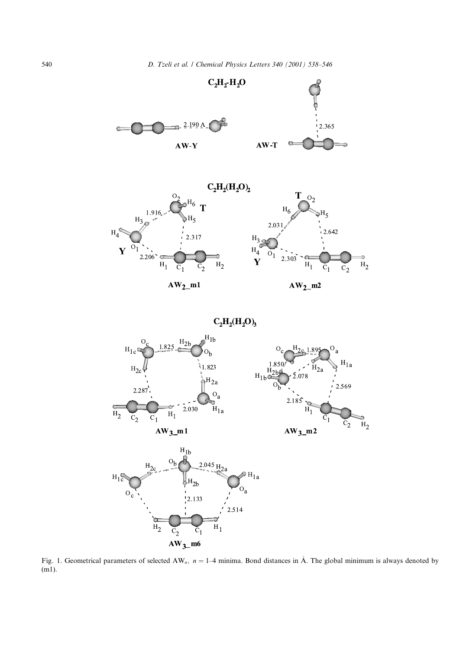

Fig. 1. Geometrical parameters of selected AW<sub>n</sub>,  $n = 1-4$  minima. Bond distances in Å. The global minimum is always denoted by  $(m1)$ .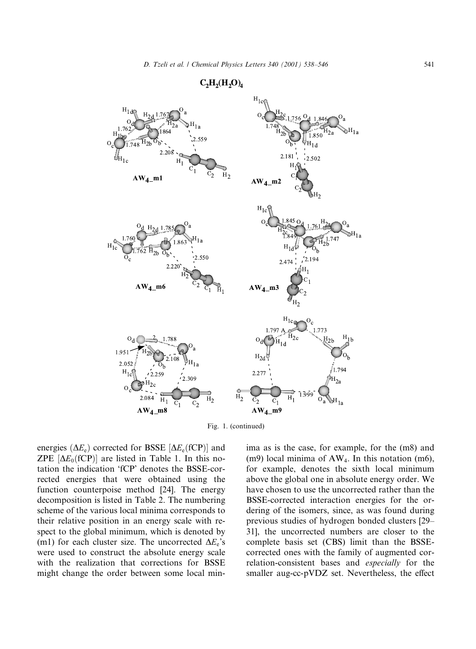

 $C_2H_2(H_2O)_4$ 

Fig. 1. (continued)

energies ( $\Delta E_e$ ) corrected for BSSE [ $\Delta E_e$ (fCP)] and ZPE  $[\Delta E_0$ (fCP)] are listed in Table 1. In this notation the indication 'fCP' denotes the BSSE-corrected energies that were obtained using the function counterpoise method [24]. The energy decomposition is listed in Table 2. The numbering scheme of the various local minima corresponds to their relative position in an energy scale with respect to the global minimum, which is denoted by (m1) for each cluster size. The uncorrected  $\Delta E_e$ 's were used to construct the absolute energy scale with the realization that corrections for BSSE might change the order between some local minima as is the case, for example, for the (m8) and  $(m9)$  local minima of AW<sub>4</sub>. In this notation  $(m6)$ , for example, denotes the sixth local minimum above the global one in absolute energy order. We have chosen to use the uncorrected rather than the BSSE-corrected interaction energies for the ordering of the isomers, since, as was found during previous studies of hydrogen bonded clusters [29– 31], the uncorrected numbers are closer to the complete basis set (CBS) limit than the BSSEcorrected ones with the family of augmented correlation-consistent bases and *especially* for the smaller aug-cc-pVDZ set. Nevertheless, the effect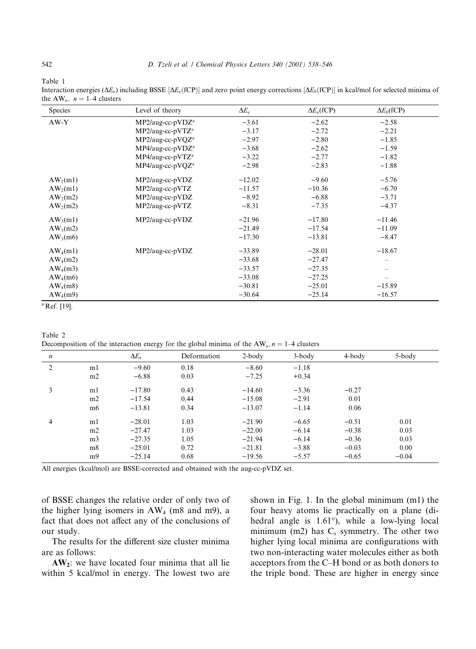Table 1

Interaction energies ( $\Delta E_e$ ) including BSSE [ $\Delta E_e$ (fCP)] and zero point energy corrections [ $\Delta E_0$ (fCP)] in kcal/mol for selected minima of the AW<sub>n</sub>,  $n = 1-4$  clusters

| <b>Species</b>          | Level of theory              | $\Delta E_e$ | $\Delta E_e$ (fCP) | $\Delta E_0$ (fCP) |
|-------------------------|------------------------------|--------------|--------------------|--------------------|
| $AW-Y$                  | $MP2/aug-cc-pVDZa$           | $-3.61$      | $-2.62$            | $-2.58$            |
|                         | MP2/aug-cc-pVTZ <sup>a</sup> | $-3.17$      | $-2.72$            | $-2.21$            |
|                         | $MP2/aug-cc-pVQZa$           | $-2.97$      | $-2.80$            | $-1.85$            |
|                         | MP4/aug-cc-pVDZ <sup>a</sup> | $-3.68$      | $-2.62$            | $-1.59$            |
|                         | MP4/aug-cc-pVTZ <sup>a</sup> | $-3.22$      | $-2.77$            | $-1.82$            |
|                         | MP4/aug-cc-pVQZ <sup>a</sup> | $-2.98$      | $-2.83$            | $-1.88$            |
| $AW_2(m1)$              | MP2/aug-cc-pVDZ              | $-12.02$     | $-9.60$            | $-5.76$            |
| $AW_2(m1)$              | MP2/aug-cc-pVTZ              | $-11.57$     | $-10.36$           | $-6.70$            |
| $AW_2(m2)$              | MP2/aug-cc-pVDZ              | $-8.92$      | $-6.88$            | $-3.71$            |
| $AW_2(m2)$              | MP2/aug-cc-pVTZ              | $-8.31$      | $-7.35$            | $-4.37$            |
| $AW_3(m1)$              | MP2/aug-cc-pVDZ              | $-21.96$     | $-17.80$           | $-11.46$           |
| $AW_3(m2)$              |                              | $-21.49$     | $-17.54$           | $-11.09$           |
| $AW_3(m6)$              |                              | $-17.30$     | $-13.81$           | $-8.47$            |
| $AW_4(m1)$              | MP2/aug-cc-pVDZ              | $-33.89$     | $-28.01$           | $-18.67$           |
| $AW_4(m2)$              |                              | $-33.68$     | $-27.47$           |                    |
| $AW_4(m3)$              |                              | $-33.57$     | $-27.35$           |                    |
| $AW_4(m6)$              |                              | $-33.08$     | $-27.25$           |                    |
| $AW_4(m8)$              |                              | $-30.81$     | $-25.01$           | $-15.89$           |
| $AW_4(m9)$              |                              | $-30.64$     | $-25.14$           | $-16.57$           |
| <sup>a</sup> Ref. [19]. |                              |              |                    |                    |

Table 2

Decomposition of the interaction energy for the global minima of the  $AW_n$ ,  $n = 1-4$  clusters

| $\boldsymbol{n}$ |                | $\Delta E_e$ | Deformation | $2$ -body | $3$ -body | 4-body  | 5-body  |  |
|------------------|----------------|--------------|-------------|-----------|-----------|---------|---------|--|
| 2                | m1             | $-9.60$      | 0.18        | $-8.60$   | $-1.18$   |         |         |  |
|                  | m2             | $-6.88$      | 0.03        | $-7.25$   | $+0.34$   |         |         |  |
| 3                | m1             | $-17.80$     | 0.43        | $-14.60$  | $-3.36$   | $-0.27$ |         |  |
|                  | m2             | $-17.54$     | 0.44        | $-15.08$  | $-2.91$   | 0.01    |         |  |
|                  | m6             | $-13.81$     | 0.34        | $-13.07$  | $-1.14$   | 0.06    |         |  |
| 4                | m1             | $-28.01$     | 1.03        | $-21.90$  | $-6.65$   | $-0.51$ | 0.01    |  |
|                  | m2             | $-27.47$     | 1.03        | $-22.00$  | $-6.14$   | $-0.38$ | 0.03    |  |
|                  | m <sub>3</sub> | $-27.35$     | 1.05        | $-21.94$  | $-6.14$   | $-0.36$ | 0.03    |  |
|                  | m <sub>8</sub> | $-25.01$     | 0.72        | $-21.81$  | $-3.88$   | $-0.03$ | 0.00    |  |
|                  | m <sub>9</sub> | $-25.14$     | 0.68        | $-19.56$  | $-5.57$   | $-0.65$ | $-0.04$ |  |

All energies (kcal/mol) are BSSE-corrected and obtained with the aug-cc-pVDZ set.

of BSSE changes the relative order of only two of the higher lying isomers in  $AW_4$  (m8 and m9), a fact that does not affect any of the conclusions of our study.

The results for the different size cluster minima are as follows:

 $AW_2$ : we have located four minima that all lie within 5 kcal/mol in energy. The lowest two are shown in Fig. 1. In the global minimum (m1) the four heavy atoms lie practically on a plane (dihedral angle is 1.61°), while a low-lying local minimum (m2) has  $C_s$  symmetry. The other two higher lying local minima are configurations with two non-interacting water molecules either as both acceptors from the C-H bond or as both donors to the triple bond. These are higher in energy since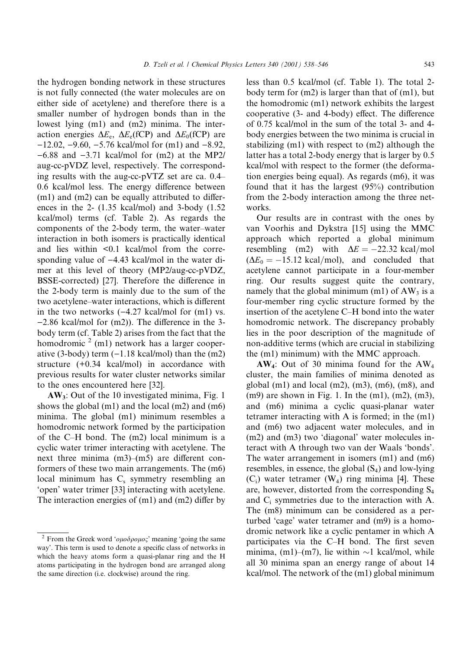the hydrogen bonding network in these structures is not fully connected (the water molecules are on either side of acetylene) and therefore there is a smaller number of hydrogen bonds than in the lowest lying (m1) and (m2) minima. The interaction energies  $\Delta E_e$ ,  $\Delta E_e$ (fCP) and  $\Delta E_0$ (fCP) are  $-12.02, -9.60, -5.76$  kcal/mol for (m1) and  $-8.92$ ,  $-6.88$  and  $-3.71$  kcal/mol for (m2) at the MP2/ aug-cc-pVDZ level, respectively. The corresponding results with the aug-cc-pVTZ set are ca. 0.4– 0.6 kcal/mol less. The energy difference between  $(m1)$  and  $(m2)$  can be equally attributed to differences in the 2- $(1.35 \text{ kcal/mol})$  and 3-body  $(1.52$ kcal/mol) terms (cf. Table 2). As regards the components of the 2-body term, the water-water interaction in both isomers is practically identical and lies within <0.1 kcal/mol from the corresponding value of  $-4.43$  kcal/mol in the water dimer at this level of theory (MP2/aug-cc-pVDZ, BSSE-corrected) [27]. Therefore the difference in the 2-body term is mainly due to the sum of the two acetylene-water interactions, which is different in the two networks  $(-4.27 \text{ kcal/mol}$  for  $(m1)$  vs.  $-2.86$  kcal/mol for (m2)). The difference in the 3body term (cf. Table 2) arises from the fact that the homodromic  $2$  (m1) network has a larger cooperative (3-body) term  $(-1.18 \text{ kcal/mol})$  than the  $(m2)$ structure (+0.34 kcal/mol) in accordance with previous results for water cluster networks similar to the ones encountered here [32].

 $AW_3$ : Out of the 10 investigated minima, Fig. 1 shows the global  $(m1)$  and the local  $(m2)$  and  $(m6)$ minima. The global (m1) minimum resembles a homodromic network formed by the participation of the C-H bond. The (m2) local minimum is a cyclic water trimer interacting with acetylene. The next three minima  $(m3)$ – $(m5)$  are different conformers of these two main arrangements. The (m6) local minimum has  $C_s$  symmetry resembling an 'open' water trimer [33] interacting with acetylene. The interaction energies of  $(m1)$  and  $(m2)$  differ by less than 0.5 kcal/mol (cf. Table 1). The total 2body term for  $(m2)$  is larger than that of  $(m1)$ , but the homodromic (m1) network exhibits the largest cooperative (3- and 4-body) effect. The difference of 0.75 kcal/mol in the sum of the total 3- and 4body energies between the two minima is crucial in stabilizing  $(m1)$  with respect to  $(m2)$  although the latter has a total 2-body energy that is larger by 0.5 kcal/mol with respect to the former (the deformation energies being equal). As regards (m6), it was found that it has the largest  $(95\%)$  contribution from the 2-body interaction among the three networks.

Our results are in contrast with the ones by van Voorhis and Dykstra [15] using the MMC approach which reported a global minimum resembling (m2) with  $\Delta E = -22.32$  kcal/mol  $(\Delta E_0 = -15.12 \text{ kcal/mol})$ , and concluded that acetylene cannot participate in a four-member ring. Our results suggest quite the contrary, namely that the global minimum (m1) of  $AW_3$  is a four-member ring cyclic structure formed by the insertion of the acetylene C–H bond into the water homodromic network. The discrepancy probably lies in the poor description of the magnitude of non-additive terms (which are crucial in stabilizing the (m1) minimum) with the MMC approach.

 $AW_4$ : Out of 30 minima found for the  $AW_4$ cluster, the main families of minima denoted as global  $(m1)$  and local  $(m2)$ ,  $(m3)$ ,  $(m6)$ ,  $(m8)$ , and  $(m9)$  are shown in Fig. 1. In the  $(m1)$ ,  $(m2)$ ,  $(m3)$ , and (m6) minima a cyclic quasi-planar water tetramer interacting with A is formed; in the (m1) and (m6) two adjacent water molecules, and in  $(m2)$  and  $(m3)$  two 'diagonal' water molecules interact with A through two van der Waals 'bonds'. The water arrangement in isomers  $(m1)$  and  $(m6)$ resembles, in essence, the global  $(S_4)$  and low-lying  $(C_i)$  water tetramer  $(W_4)$  ring minima [4]. These are, however, distorted from the corresponding  $S_4$ and  $C_i$  symmetries due to the interaction with A. The (m8) minimum can be considered as a perturbed 'cage' water tetramer and (m9) is a homodromic network like a cyclic pentamer in which A participates via the C-H bond. The first seven minima, (m1)–(m7), lie within  $\sim$ 1 kcal/mol, while all 30 minima span an energy range of about 14 kcal/mol. The network of the (m1) global minimum

<sup>&</sup>lt;sup>2</sup> From the Greek word ' $o\mu o\delta\rho o\mu o\varsigma$ ' meaning 'going the same way'. This term is used to denote a specific class of networks in which the heavy atoms form a quasi-planar ring and the H atoms participating in the hydrogen bond are arranged along the same direction (i.e. clockwise) around the ring.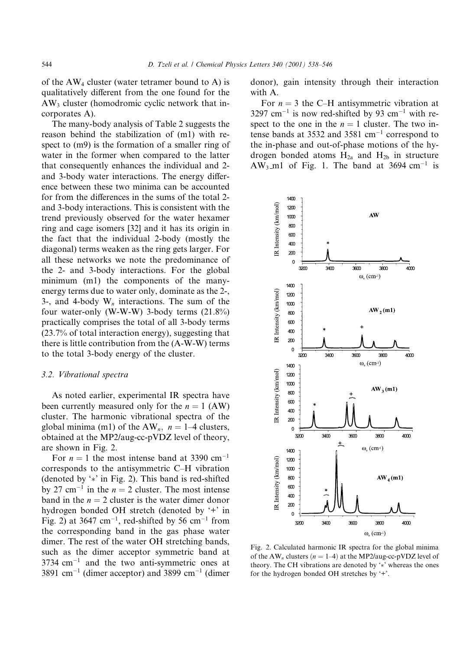of the  $AW_4$  cluster (water tetramer bound to A) is qualitatively different from the one found for the  $AW_3$  cluster (homodromic cyclic network that incorporates A).

The many-body analysis of Table 2 suggests the reason behind the stabilization of (m1) with respect to  $(m9)$  is the formation of a smaller ring of water in the former when compared to the latter that consequently enhances the individual and 2and 3-body water interactions. The energy difference between these two minima can be accounted for from the differences in the sums of the total 2and 3-body interactions. This is consistent with the trend previously observed for the water hexamer ring and cage isomers [32] and it has its origin in the fact that the individual 2-body (mostly the diagonal) terms weaken as the ring gets larger. For all these networks we note the predominance of the 2- and 3-body interactions. For the global minimum (m1) the components of the manyenergy terms due to water only, dominate as the 2-, 3-, and 4-body  $W_n$  interactions. The sum of the four water-only (W-W-W) 3-body terms (21.8%) practically comprises the total of all 3-body terms (23.7% of total interaction energy), suggesting that there is little contribution from the (A-W-W) terms to the total 3-body energy of the cluster.

# 3.2. Vibrational spectra

As noted earlier, experimental IR spectra have been currently measured only for the  $n = 1$  (AW) cluster. The harmonic vibrational spectra of the global minima (m1) of the  $AW_n$ ,  $n = 1-4$  clusters, obtained at the MP2/aug-cc-pVDZ level of theory, are shown in Fig. 2.

For  $n = 1$  the most intense band at 3390 cm<sup>-1</sup> corresponds to the antisymmetric C-H vibration (denoted by '\*' in Fig. 2). This band is red-shifted by 27 cm<sup>-1</sup> in the  $n = 2$  cluster. The most intense band in the  $n = 2$  cluster is the water dimer donor hydrogen bonded OH stretch (denoted by '+' in Fig. 2) at 3647 cm<sup>-1</sup>, red-shifted by 56 cm<sup>-1</sup> from the corresponding band in the gas phase water dimer. The rest of the water OH stretching bands, such as the dimer acceptor symmetric band at  $3734$  cm<sup>-1</sup> and the two anti-symmetric ones at 3891 cm<sup>-1</sup> (dimer acceptor) and 3899 cm<sup>-1</sup> (dimer donor), gain intensity through their interaction with A.

For  $n = 3$  the C-H antisymmetric vibration at 3297 cm<sup>-1</sup> is now red-shifted by 93 cm<sup>-1</sup> with respect to the one in the  $n = 1$  cluster. The two intense bands at 3532 and 3581  $cm^{-1}$  correspond to the in-phase and out-of-phase motions of the hydrogen bonded atoms  $H_{2a}$  and  $H_{2b}$  in structure  $AW_3$  m1 of Fig. 1. The band at 3694 cm<sup>-1</sup> is



Fig. 2. Calculated harmonic IR spectra for the global minima of the AW<sub>n</sub> clusters ( $n = 1-4$ ) at the MP2/aug-cc-pVDZ level of theory. The CH vibrations are denoted by '\*' whereas the ones for the hydrogen bonded OH stretches by '+'.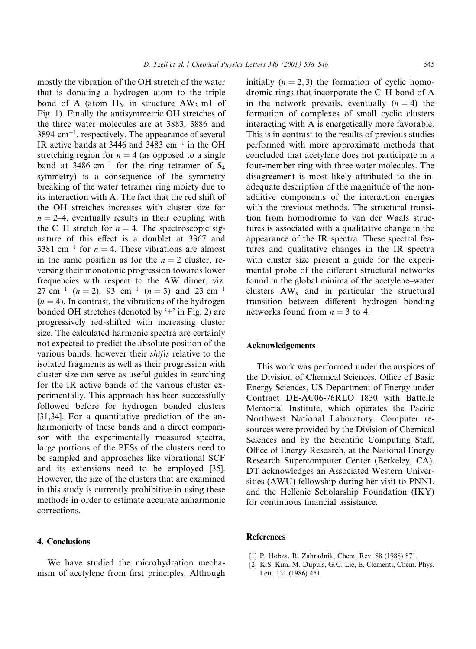mostly the vibration of the OH stretch of the water that is donating a hydrogen atom to the triple bond of A (atom  $H_{2c}$  in structure AW<sub>3</sub>\_m1 of Fig. 1). Finally the antisymmetric OH stretches of the three water molecules are at 3883, 3886 and  $3894$  cm<sup>-1</sup>, respectively. The appearance of several IR active bands at 3446 and 3483 cm<sup>-1</sup> in the OH stretching region for  $n = 4$  (as opposed to a single band at 3486 cm<sup>-1</sup> for the ring tetramer of  $S_4$ symmetry) is a consequence of the symmetry breaking of the water tetramer ring moiety due to its interaction with A. The fact that the red shift of the OH stretches increases with cluster size for  $n = 2-4$ , eventually results in their coupling with the C-H stretch for  $n = 4$ . The spectroscopic signature of this effect is a doublet at 3367 and 3381 cm<sup>-1</sup> for  $n = 4$ . These vibrations are almost in the same position as for the  $n = 2$  cluster, reversing their monotonic progression towards lower frequencies with respect to the AW dimer, viz.  $27 \text{ cm}^{-1}$  (n = 2), 93 cm<sup>-1</sup> (n = 3) and 23 cm<sup>-1</sup>  $(n = 4)$ . In contrast, the vibrations of the hydrogen bonded OH stretches (denoted by '+' in Fig. 2) are progressively red-shifted with increasing cluster size. The calculated harmonic spectra are certainly not expected to predict the absolute position of the various bands, however their *shifts* relative to the isolated fragments as well as their progression with cluster size can serve as useful guides in searching for the IR active bands of the various cluster experimentally. This approach has been successfully followed before for hydrogen bonded clusters [31,34]. For a quantitative prediction of the anharmonicity of these bands and a direct comparison with the experimentally measured spectra, large portions of the PESs of the clusters need to be sampled and approaches like vibrational SCF and its extensions need to be employed [35]. However, the size of the clusters that are examined in this study is currently prohibitive in using these methods in order to estimate accurate anharmonic corrections.

# 4. Conclusions

We have studied the microhydration mechanism of acetylene from first principles. Although initially  $(n = 2, 3)$  the formation of cyclic homodromic rings that incorporate the C-H bond of A in the network prevails, eventually  $(n = 4)$  the formation of complexes of small cyclic clusters interacting with A is energetically more favorable. This is in contrast to the results of previous studies performed with more approximate methods that concluded that acetylene does not participate in a four-member ring with three water molecules. The disagreement is most likely attributed to the inadequate description of the magnitude of the nonadditive components of the interaction energies with the previous methods. The structural transition from homodromic to van der Waals structures is associated with a qualitative change in the appearance of the IR spectra. These spectral features and qualitative changes in the IR spectra with cluster size present a guide for the experimental probe of the different structural networks found in the global minima of the acetylene–water clusters  $AW_n$  and in particular the structural transition between different hydrogen bonding networks found from  $n = 3$  to 4.

# **Acknowledgements**

This work was performed under the auspices of the Division of Chemical Sciences, Office of Basic Energy Sciences, US Department of Energy under Contract DE-AC06-76RLO 1830 with Battelle Memorial Institute, which operates the Pacific Northwest National Laboratory. Computer resources were provided by the Division of Chemical Sciences and by the Scientific Computing Staff, Office of Energy Research, at the National Energy Research Supercomputer Center (Berkeley, CA). DT acknowledges an Associated Western Universities (AWU) fellowship during her visit to PNNL and the Hellenic Scholarship Foundation (IKY) for continuous financial assistance.

### **References**

- [1] P. Hobza, R. Zahradnik, Chem. Rev. 88 (1988) 871.
- [2] K.S. Kim, M. Dupuis, G.C. Lie, E. Clementi, Chem. Phys. Lett. 131 (1986) 451.